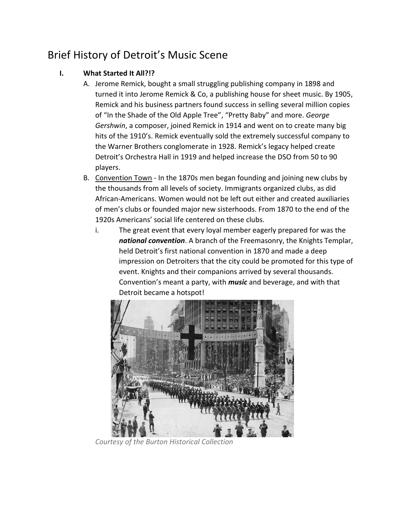# Brief History of Detroit's Music Scene

#### **I. What Started It All?!?**

- A. Jerome Remick, bought a small struggling publishing company in 1898 and turned it into Jerome Remick & Co, a publishing house for sheet music. By 1905, Remick and his business partners found success in selling several million copies of "In the Shade of the Old Apple Tree", "Pretty Baby" and more. *George Gershwin*, a composer, joined Remick in 1914 and went on to create many big hits of the 1910's. Remick eventually sold the extremely successful company to the Warner Brothers conglomerate in 1928. Remick's legacy helped create Detroit's Orchestra Hall in 1919 and helped increase the DSO from 50 to 90 players.
- B. Convention Town In the 1870s men began founding and joining new clubs by the thousands from all levels of society. Immigrants organized clubs, as did African-Americans. Women would not be left out either and created auxiliaries of men's clubs or founded major new sisterhoods. From 1870 to the end of the 1920s Americans' social life centered on these clubs.
	- i. The great event that every loyal member eagerly prepared for was the *national convention*. A branch of the Freemasonry, the Knights Templar, held Detroit's first national convention in 1870 and made a deep impression on Detroiters that the city could be promoted for this type of event. Knights and their companions arrived by several thousands. Convention's meant a party, with *music* and beverage, and with that Detroit became a hotspot!



*Courtesy of the Burton Historical Collection*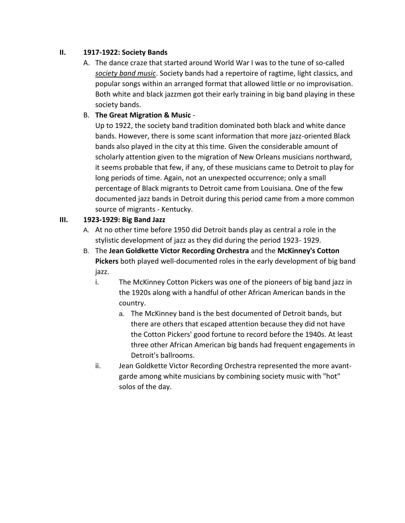#### **II. 1917-1922: Society Bands**

A. The dance craze that started around World War I was to the tune of so-called *society band music*. Society bands had a repertoire of ragtime, light classics, and popular songs within an arranged format that allowed little or no improvisation. Both white and black jazzmen got their early training in big band playing in these society bands.

#### B. **The Great Migration & Music** -

Up to 1922, the society band tradition dominated both black and white dance bands. However, there is some scant information that more jazz-oriented Black bands also played in the city at this time. Given the considerable amount of scholarly attention given to the migration of New Orleans musicians northward, it seems probable that few, if any, of these musicians came to Detroit to play for long periods of time. Again, not an unexpected occurrence; only a small percentage of Black migrants to Detroit came from Louisiana. One of the few documented jazz bands in Detroit during this period came from a more common source of migrants - Kentucky.

#### **III. 1923-1929: Big Band Jazz**

- A. At no other time before 1950 did Detroit bands play as central a role in the stylistic development of jazz as they did during the period 1923- 1929.
- B. The **Jean Goldkette Victor Recording Orchestra** and the **McKinney's Cotton Pickers** both played well-documented roles in the early development of big band jazz.
	- i. The McKinney Cotton Pickers was one of the pioneers of big band jazz in the 1920s along with a handful of other African American bands in the country.
		- a. The McKinney band is the best documented of Detroit bands, but there are others that escaped attention because they did not have the Cotton Pickers' good fortune to record before the 1940s. At least three other African American big bands had frequent engagements in Detroit's ballrooms.
	- ii. Jean Goldkette Victor Recording Orchestra represented the more avantgarde among white musicians by combining society music with "hot" solos of the day.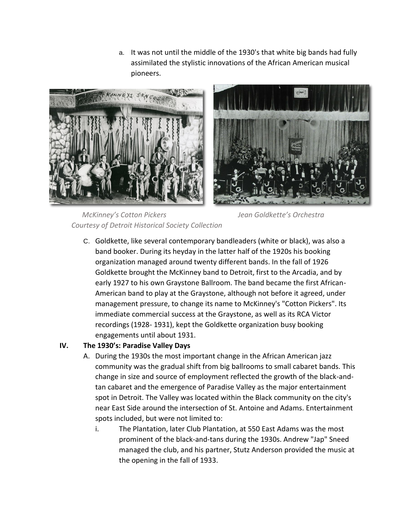a. It was not until the middle of the 1930's that white big bands had fully assimilated the stylistic innovations of the African American musical pioneers.





 *McKinney's Cotton Pickers Jean Goldkette's Orchestra Courtesy of Detroit Historical Society Collection*

C. Goldkette, like several contemporary bandleaders (white or black), was also a band booker. During its heyday in the latter half of the 1920s his booking organization managed around twenty different bands. In the fall of 1926 Goldkette brought the McKinney band to Detroit, first to the Arcadia, and by early 1927 to his own Graystone Ballroom. The band became the first African-American band to play at the Graystone, although not before it agreed, under management pressure, to change its name to McKinney's "Cotton Pickers". Its immediate commercial success at the Graystone, as well as its RCA Victor recordings (1928- 1931), kept the Goldkette organization busy booking engagements until about 1931.

## **IV. The 1930's: Paradise Valley Days**

- A. During the 1930s the most important change in the African American jazz community was the gradual shift from big ballrooms to small cabaret bands. This change in size and source of employment reflected the growth of the black-andtan cabaret and the emergence of Paradise Valley as the major entertainment spot in Detroit. The Valley was located within the Black community on the city's near East Side around the intersection of St. Antoine and Adams. Entertainment spots included, but were not limited to:
	- i. The Plantation, later Club Plantation, at 550 East Adams was the most prominent of the black-and-tans during the 1930s. Andrew "Jap" Sneed managed the club, and his partner, Stutz Anderson provided the music at the opening in the fall of 1933.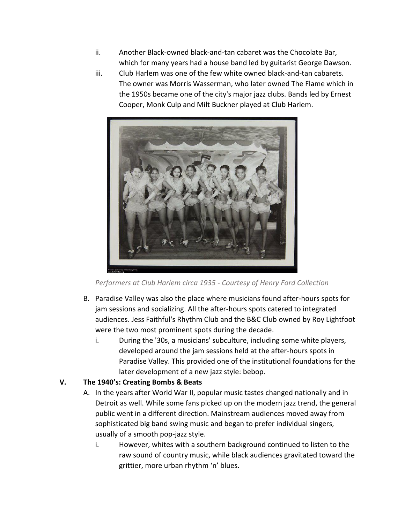- ii. Another Black-owned black-and-tan cabaret was the Chocolate Bar, which for many years had a house band led by guitarist George Dawson.
- iii. Club Harlem was one of the few white owned black-and-tan cabarets. The owner was Morris Wasserman, who later owned The Flame which in the 1950s became one of the city's major jazz clubs. Bands led by Ernest Cooper, Monk Culp and Milt Buckner played at Club Harlem.



*Performers at Club Harlem circa 1935 - Courtesy of Henry Ford Collection*

- B. Paradise Valley was also the place where musicians found after-hours spots for jam sessions and socializing. All the after-hours spots catered to integrated audiences. Jess Faithful's Rhythm Club and the B&C Club owned by Roy Lightfoot were the two most prominent spots during the decade.
	- i. During the '30s, a musicians' subculture, including some white players, developed around the jam sessions held at the after-hours spots in Paradise Valley. This provided one of the institutional foundations for the later development of a new jazz style: bebop.

## **V. The 1940's: Creating Bombs & Beats**

- A. In the years after World War II, popular music tastes changed nationally and in Detroit as well. While some fans picked up on the modern jazz trend, the general public went in a different direction. Mainstream audiences moved away from sophisticated big band swing music and began to prefer individual singers, usually of a smooth pop-jazz style.
	- i. However, whites with a southern background continued to listen to the raw sound of country music, while black audiences gravitated toward the grittier, more urban rhythm 'n' blues.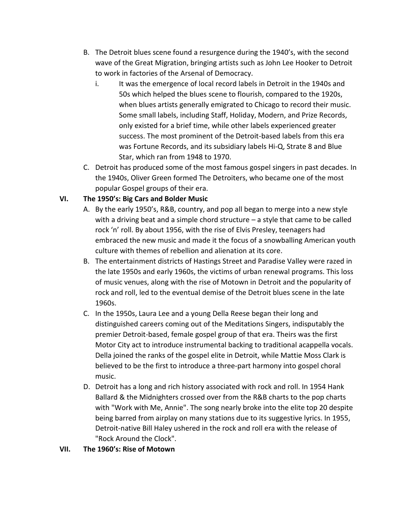- B. The Detroit blues scene found a resurgence during the 1940's, with the second wave of the Great Migration, bringing artists such as John Lee Hooker to Detroit to work in factories of the Arsenal of Democracy.
	- i. It was the emergence of local record labels in Detroit in the 1940s and 50s which helped the blues scene to flourish, compared to the 1920s, when blues artists generally emigrated to Chicago to record their music. Some small labels, including Staff, Holiday, Modern, and Prize Records, only existed for a brief time, while other labels experienced greater success. The most prominent of the Detroit-based labels from this era was Fortune Records, and its subsidiary labels Hi-Q, Strate 8 and Blue Star, which ran from 1948 to 1970.
- C. Detroit has produced some of the most famous gospel singers in past decades. In the 1940s, Oliver Green formed The Detroiters, who became one of the most popular Gospel groups of their era.

## **VI. The 1950's: Big Cars and Bolder Music**

- A. By the early 1950's, R&B, country, and pop all began to merge into a new style with a driving beat and a simple chord structure – a style that came to be called rock 'n' roll. By about 1956, with the rise of Elvis Presley, teenagers had embraced the new music and made it the focus of a snowballing American youth culture with themes of rebellion and alienation at its core.
- B. The entertainment districts of Hastings Street and Paradise Valley were razed in the late 1950s and early 1960s, the victims of urban renewal programs. This loss of music venues, along with the rise of Motown in Detroit and the popularity of rock and roll, led to the eventual demise of the Detroit blues scene in the late 1960s.
- C. In the 1950s, Laura Lee and a young Della Reese began their long and distinguished careers coming out of the Meditations Singers, indisputably the premier Detroit-based, female gospel group of that era. Theirs was the first Motor City act to introduce instrumental backing to traditional acappella vocals. Della joined the ranks of the gospel elite in Detroit, while Mattie Moss Clark is believed to be the first to introduce a three-part harmony into gospel choral music.
- D. Detroit has a long and rich history associated with rock and roll. In 1954 Hank Ballard & the Midnighters crossed over from the R&B charts to the pop charts with "Work with Me, Annie". The song nearly broke into the elite top 20 despite being barred from airplay on many stations due to its suggestive lyrics. In 1955, Detroit-native Bill Haley ushered in the rock and roll era with the release of "Rock Around the Clock".

#### **VII. The 1960's: Rise of Motown**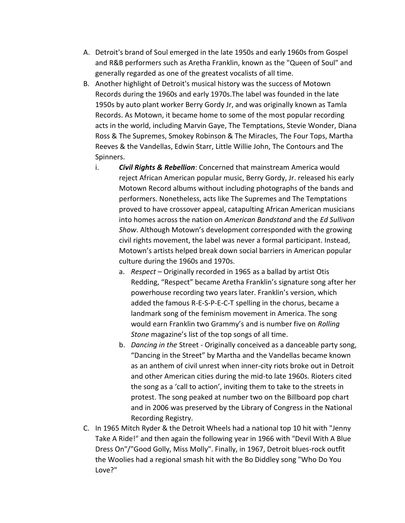- A. Detroit's brand of Soul emerged in the late 1950s and early 1960s from Gospel and R&B performers such as Aretha Franklin, known as the "Queen of Soul" and generally regarded as one of the greatest vocalists of all time.
- B. Another highlight of Detroit's musical history was the success of Motown Records during the 1960s and early 1970s.The label was founded in the late 1950s by auto plant worker Berry Gordy Jr, and was originally known as Tamla Records. As Motown, it became home to some of the most popular recording acts in the world, including Marvin Gaye, The Temptations, Stevie Wonder, Diana Ross & The Supremes, Smokey Robinson & The Miracles, The Four Tops, Martha Reeves & the Vandellas, Edwin Starr, Little Willie John, The Contours and The Spinners.
	- i. *Civil Rights & Rebellion*: Concerned that mainstream America would reject African American popular music, Berry Gordy, Jr. released his early Motown Record albums without including photographs of the bands and performers. Nonetheless, acts like The Supremes and The Temptations proved to have crossover appeal, catapulting African American musicians into homes across the nation on *American Bandstand* and the *Ed Sullivan Show*. Although Motown's development corresponded with the growing civil rights movement, the label was never a formal participant. Instead, Motown's artists helped break down social barriers in American popular culture during the 1960s and 1970s.
		- a. *Respect* Originally recorded in 1965 as a ballad by artist Otis Redding, "Respect" became Aretha Franklin's signature song after her powerhouse recording two years later. Franklin's version, which added the famous R-E-S-P-E-C-T spelling in the chorus, became a landmark song of the feminism movement in America. The song would earn Franklin two Grammy's and is number five on *Rolling Stone* magazine's list of the top songs of all time.
		- b. *Dancing in the* Street Originally conceived as a danceable party song, "Dancing in the Street" by Martha and the Vandellas became known as an anthem of civil unrest when inner-city riots broke out in Detroit and other American cities during the mid-to late 1960s. Rioters cited the song as a 'call to action', inviting them to take to the streets in protest. The song peaked at number two on the Billboard pop chart and in 2006 was preserved by the Library of Congress in the National Recording Registry.
- C. In 1965 Mitch Ryder & the Detroit Wheels had a national top 10 hit with "Jenny Take A Ride!" and then again the following year in 1966 with "Devil With A Blue Dress On"/"Good Golly, Miss Molly". Finally, in 1967, Detroit blues-rock outfit the Woolies had a regional smash hit with the Bo Diddley song "Who Do You Love?"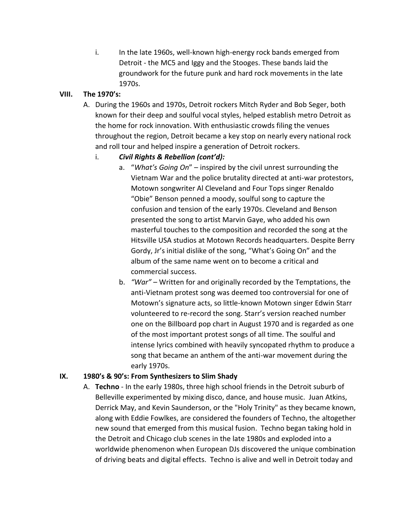i. In the late 1960s, well-known high-energy rock bands emerged from Detroit - the MC5 and Iggy and the Stooges. These bands laid the groundwork for the future punk and hard rock movements in the late 1970s.

#### **VIII. The 1970's:**

A. During the 1960s and 1970s, Detroit rockers Mitch Ryder and Bob Seger, both known for their deep and soulful vocal styles, helped establish metro Detroit as the home for rock innovation. With enthusiastic crowds filing the venues throughout the region, Detroit became a key stop on nearly every national rock and roll tour and helped inspire a generation of Detroit rockers.

#### i. *Civil Rights & Rebellion (cont'd):*

- a. "*What's Going On*" inspired by the civil unrest surrounding the Vietnam War and the police brutality directed at anti-war protestors, Motown songwriter Al Cleveland and Four Tops singer Renaldo "Obie" Benson penned a moody, soulful song to capture the confusion and tension of the early 1970s. Cleveland and Benson presented the song to artist Marvin Gaye, who added his own masterful touches to the composition and recorded the song at the Hitsville USA studios at Motown Records headquarters. Despite Berry Gordy, Jr's initial dislike of the song, "What's Going On" and the album of the same name went on to become a critical and commercial success.
- b. *"War" –* Written for and originally recorded by the Temptations, the anti-Vietnam protest song was deemed too controversial for one of Motown's signature acts, so little-known Motown singer Edwin Starr volunteered to re-record the song. Starr's version reached number one on the Billboard pop chart in August 1970 and is regarded as one of the most important protest songs of all time. The soulful and intense lyrics combined with heavily syncopated rhythm to produce a song that became an anthem of the anti-war movement during the early 1970s.

## **IX. 1980's & 90's: From Synthesizers to Slim Shady**

A. **Techno** - In the early 1980s, three high school friends in the Detroit suburb of Belleville experimented by mixing disco, dance, and house music. Juan Atkins, Derrick May, and Kevin Saunderson, or the "Holy Trinity" as they became known, along with Eddie Fowlkes, are considered the founders of Techno, the altogether new sound that emerged from this musical fusion. Techno began taking hold in the Detroit and Chicago club scenes in the late 1980s and exploded into a worldwide phenomenon when European DJs discovered the unique combination of driving beats and digital effects. Techno is alive and well in Detroit today and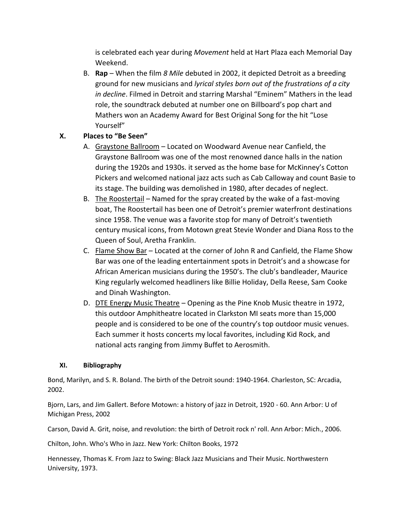is celebrated each year during *Movement* held at Hart Plaza each Memorial Day Weekend.

B. **Rap** – When the film *8 Mile* debuted in 2002, it depicted Detroit as a breeding ground for new musicians and *lyrical styles born out of the frustrations of a city in decline*. Filmed in Detroit and starring Marshal "Eminem" Mathers in the lead role, the soundtrack debuted at number one on Billboard's pop chart and Mathers won an Academy Award for Best Original Song for the hit "Lose Yourself"

## **X. Places to "Be Seen"**

- A. Graystone Ballroom Located on Woodward Avenue near Canfield, the Graystone Ballroom was one of the most renowned dance halls in the nation during the 1920s and 1930s. it served as the home base for McKinney's Cotton Pickers and welcomed national jazz acts such as Cab Calloway and count Basie to its stage. The building was demolished in 1980, after decades of neglect.
- B. The Roostertail Named for the spray created by the wake of a fast-moving boat, The Roostertail has been one of Detroit's premier waterfront destinations since 1958. The venue was a favorite stop for many of Detroit's twentieth century musical icons, from Motown great Stevie Wonder and Diana Ross to the Queen of Soul, Aretha Franklin.
- C. Flame Show Bar Located at the corner of John R and Canfield, the Flame Show Bar was one of the leading entertainment spots in Detroit's and a showcase for African American musicians during the 1950's. The club's bandleader, Maurice King regularly welcomed headliners like Billie Holiday, Della Reese, Sam Cooke and Dinah Washington.
- D. DTE Energy Music Theatre Opening as the Pine Knob Music theatre in 1972, this outdoor Amphitheatre located in Clarkston MI seats more than 15,000 people and is considered to be one of the country's top outdoor music venues. Each summer it hosts concerts my local favorites, including Kid Rock, and national acts ranging from Jimmy Buffet to Aerosmith.

#### **XI. Bibliography**

Bond, Marilyn, and S. R. Boland. The birth of the Detroit sound: 1940-1964. Charleston, SC: Arcadia, 2002.

Bjorn, Lars, and Jim Gallert. Before Motown: a history of jazz in Detroit, 1920 - 60. Ann Arbor: U of Michigan Press, 2002

Carson, David A. Grit, noise, and revolution: the birth of Detroit rock n' roll. Ann Arbor: Mich., 2006.

Chilton, John. Who's Who in Jazz. New York: Chilton Books, 1972

Hennessey, Thomas K. From Jazz to Swing: Black Jazz Musicians and Their Music. Northwestern University, 1973.